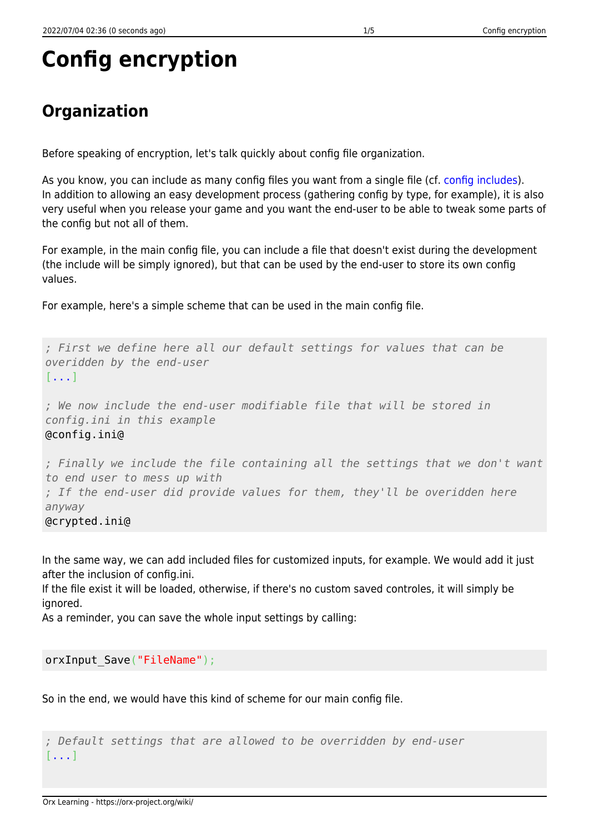# **Config encryption**

# **Organization**

Before speaking of encryption, let's talk quickly about config file organization.

As you know, you can include as many config files you want from a single file (cf. [config includes](https://orx-project.org/wiki/en/orx/config/syntax#includes)). In addition to allowing an easy development process (gathering config by type, for example), it is also very useful when you release your game and you want the end-user to be able to tweak some parts of the config but not all of them.

For example, in the main config file, you can include a file that doesn't exist during the development (the include will be simply ignored), but that can be used by the end-user to store its own config values.

For example, here's a simple scheme that can be used in the main config file.

*; First we define here all our default settings for values that can be overidden by the end-user* [...] *; We now include the end-user modifiable file that will be stored in config.ini in this example* @config.ini@ *; Finally we include the file containing all the settings that we don't want to end user to mess up with ; If the end-user did provide values for them, they'll be overidden here anyway* @crypted.ini@

In the same way, we can add included files for customized inputs, for example. We would add it just after the inclusion of config.ini.

If the file exist it will be loaded, otherwise, if there's no custom saved controles, it will simply be ignored.

As a reminder, you can save the whole input settings by calling:

orxInput Save("FileName");

So in the end, we would have this kind of scheme for our main config file.

*; Default settings that are allowed to be overridden by end-user* [...]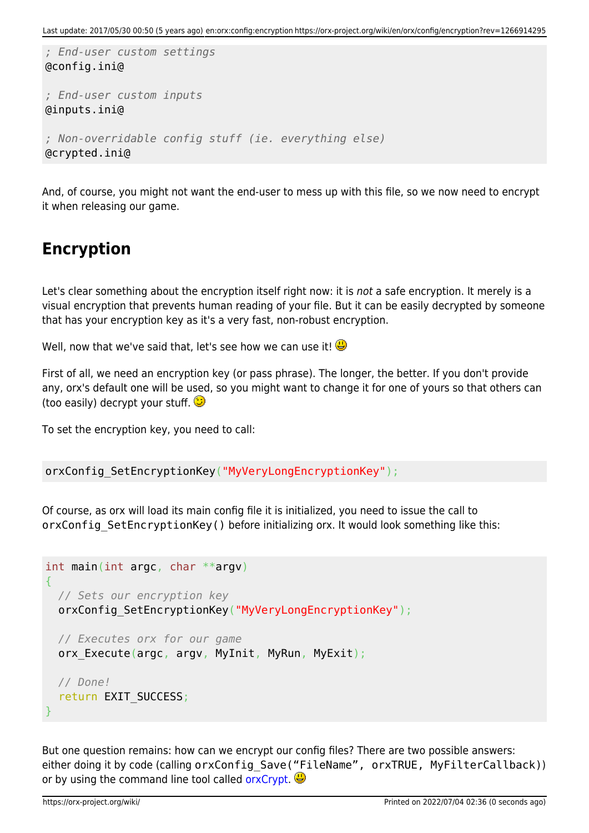```
; End-user custom settings
@config.ini@
; End-user custom inputs
@inputs.ini@
; Non-overridable config stuff (ie. everything else)
@crypted.ini@
```
And, of course, you might not want the end-user to mess up with this file, so we now need to encrypt it when releasing our game.

# **Encryption**

Let's clear something about the encryption itself right now: it is not a safe encryption. It merely is a visual encryption that prevents human reading of your file. But it can be easily decrypted by someone that has your encryption key as it's a very fast, non-robust encryption.

Well, now that we've said that, let's see how we can use it!

First of all, we need an encryption key (or pass phrase). The longer, the better. If you don't provide any, orx's default one will be used, so you might want to change it for one of yours so that others can (too easily) decrypt your stuff.  $\bigcirc$ 

To set the encryption key, you need to call:

```
orxConfig SetEncryptionKey("MyVeryLongEncryptionKey");
```
Of course, as orx will load its main config file it is initialized, you need to issue the call to orxConfig SetEncryptionKey() before initializing orx. It would look something like this:

```
int main(int argc, char **argv)
{
  // Sets our encryption key
 orxConfig SetEncryptionKey("MyVeryLongEncryptionKey");
  // Executes orx for our game
 orx Execute(argc, argv, MyInit, MyRun, MyExit);
  // Done!
   return EXIT_SUCCESS;
}
```
<span id="page-1-0"></span>But one question remains: how can we encrypt our config files? There are two possible answers: either doing it by code (calling orxConfig Save("FileName", orxTRUE, MyFilterCallback)) or by using the command line tool called [orxCrypt](#page-1-0).  $\bigoplus$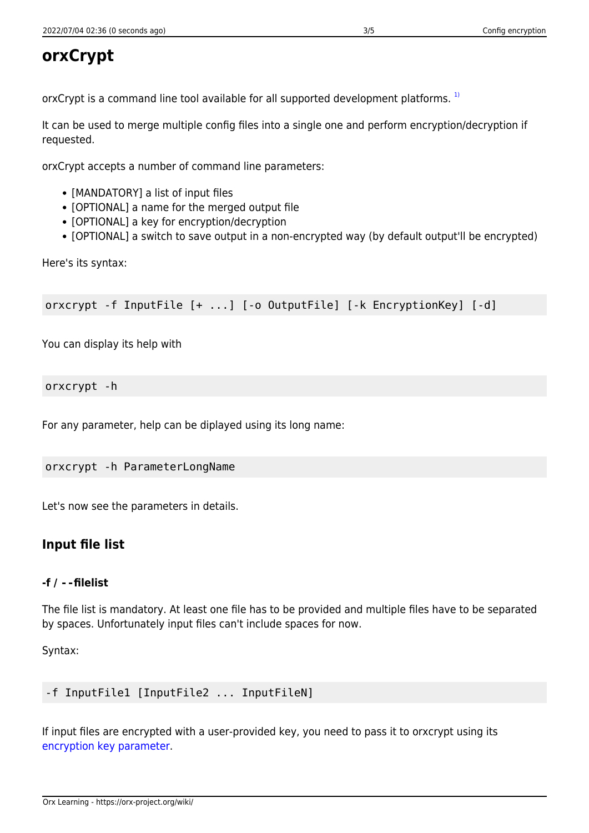# **orxCrypt**

orxCrypt is a command line tool available for all supported development platforms.<sup>[1\)](#page--1-0)</sup>

It can be used to merge multiple config files into a single one and perform encryption/decryption if requested.

orxCrypt accepts a number of command line parameters:

- [MANDATORY] a list of input files
- [OPTIONAL] a name for the merged output file
- [OPTIONAL] a key for encryption/decryption
- [OPTIONAL] a switch to save output in a non-encrypted way (by default output'll be encrypted)

Here's its syntax:

orxcrypt -f InputFile [+ ...] [-o OutputFile] [-k EncryptionKey] [-d]

You can display its help with

#### orxcrypt -h

For any parameter, help can be diplayed using its long name:

orxcrypt -h ParameterLongName

Let's now see the parameters in details.

## **Input file list**

#### **-f / --filelist**

The file list is mandatory. At least one file has to be provided and multiple files have to be separated by spaces. Unfortunately input files can't include spaces for now.

Syntax:

```
-f InputFile1 [InputFile2 ... InputFileN]
```
<span id="page-2-0"></span>If input files are encrypted with a user-provided key, you need to pass it to orxcrypt using its [encryption key parameter.](#page-2-0)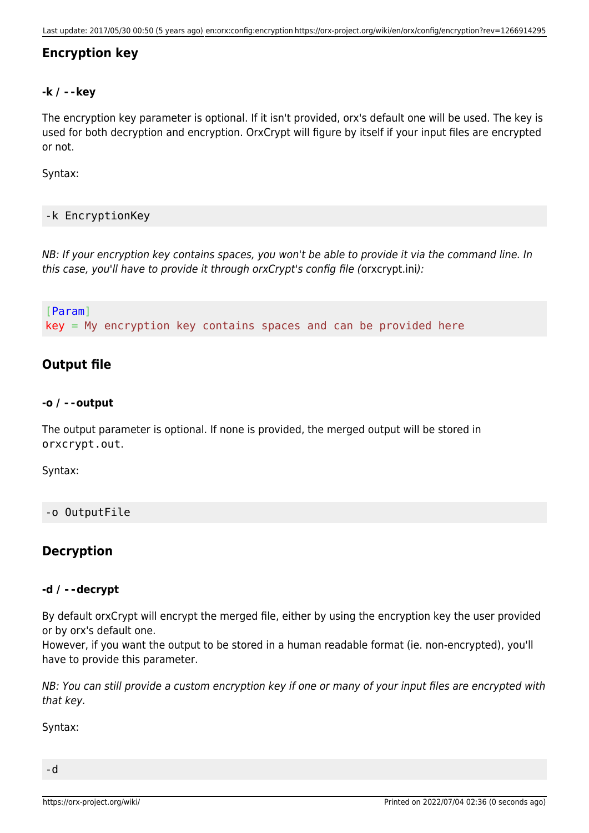### **Encryption key**

#### **-k / --key**

The encryption key parameter is optional. If it isn't provided, orx's default one will be used. The key is used for both decryption and encryption. OrxCrypt will figure by itself if your input files are encrypted or not.

Syntax:

#### -k EncryptionKey

NB: If your encryption key contains spaces, you won't be able to provide it via the command line. In this case, you'll have to provide it through orxCrypt's config file (orxcrypt.ini):

[Param]  $key = My encryption key contains spaces and can be provided here$ 

### **Output file**

#### **-o / --output**

The output parameter is optional. If none is provided, the merged output will be stored in orxcrypt.out.

Syntax:

#### -o OutputFile

### **Decryption**

#### **-d / --decrypt**

By default orxCrypt will encrypt the merged file, either by using the encryption key the user provided or by orx's default one.

However, if you want the output to be stored in a human readable format (ie. non-encrypted), you'll have to provide this parameter.

NB: You can still provide a custom encryption key if one or many of your input files are encrypted with that key.

Syntax: